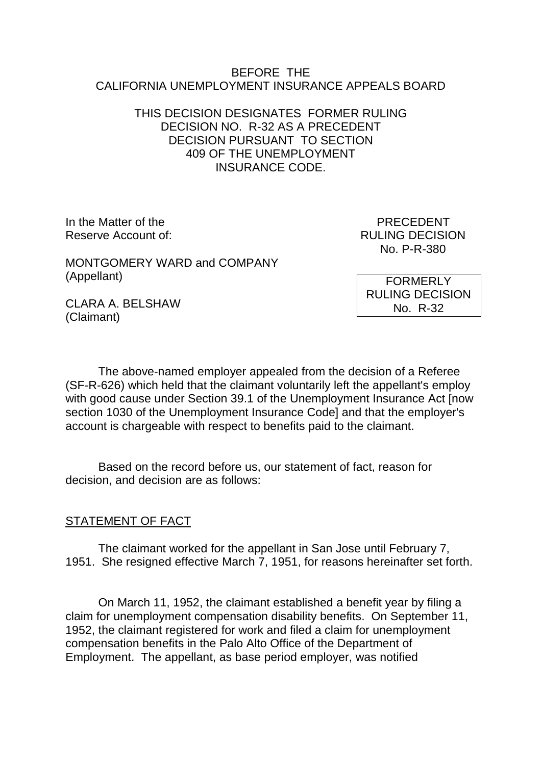#### BEFORE THE CALIFORNIA UNEMPLOYMENT INSURANCE APPEALS BOARD

## THIS DECISION DESIGNATES FORMER RULING DECISION NO. R-32 AS A PRECEDENT DECISION PURSUANT TO SECTION 409 OF THE UNEMPLOYMENT INSURANCE CODE.

In the Matter of the **PRECEDENT** Reserve Account of:  $RULING DECISION$ 

No. P-R-380

MONTGOMERY WARD and COMPANY (Appellant)

FORMERLY RULING DECISION No. R-32

CLARA A. BELSHAW (Claimant)

The above-named employer appealed from the decision of a Referee (SF-R-626) which held that the claimant voluntarily left the appellant's employ with good cause under Section 39.1 of the Unemployment Insurance Act [now section 1030 of the Unemployment Insurance Code] and that the employer's account is chargeable with respect to benefits paid to the claimant.

Based on the record before us, our statement of fact, reason for decision, and decision are as follows:

# STATEMENT OF FACT

The claimant worked for the appellant in San Jose until February 7, 1951. She resigned effective March 7, 1951, for reasons hereinafter set forth.

On March 11, 1952, the claimant established a benefit year by filing a claim for unemployment compensation disability benefits. On September 11, 1952, the claimant registered for work and filed a claim for unemployment compensation benefits in the Palo Alto Office of the Department of Employment. The appellant, as base period employer, was notified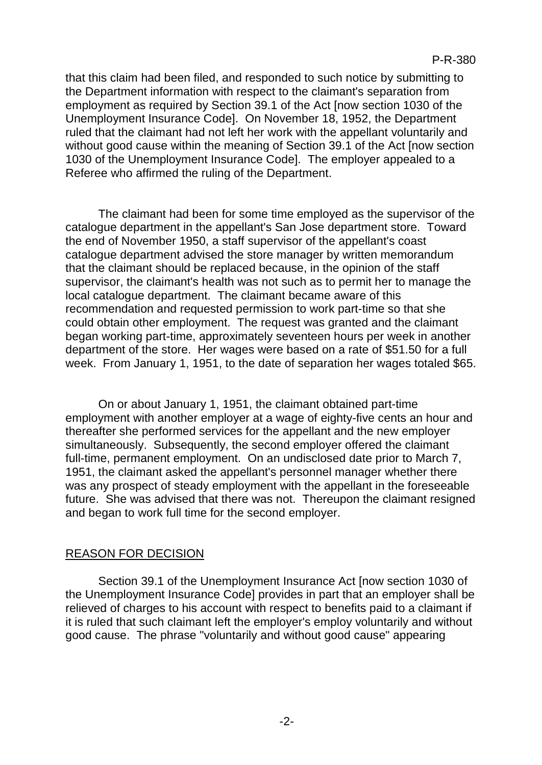that this claim had been filed, and responded to such notice by submitting to the Department information with respect to the claimant's separation from employment as required by Section 39.1 of the Act [now section 1030 of the Unemployment Insurance Code]. On November 18, 1952, the Department ruled that the claimant had not left her work with the appellant voluntarily and without good cause within the meaning of Section 39.1 of the Act [now section 1030 of the Unemployment Insurance Code]. The employer appealed to a Referee who affirmed the ruling of the Department.

The claimant had been for some time employed as the supervisor of the catalogue department in the appellant's San Jose department store. Toward the end of November 1950, a staff supervisor of the appellant's coast catalogue department advised the store manager by written memorandum that the claimant should be replaced because, in the opinion of the staff supervisor, the claimant's health was not such as to permit her to manage the local catalogue department. The claimant became aware of this recommendation and requested permission to work part-time so that she could obtain other employment. The request was granted and the claimant began working part-time, approximately seventeen hours per week in another department of the store. Her wages were based on a rate of \$51.50 for a full week. From January 1, 1951, to the date of separation her wages totaled \$65.

On or about January 1, 1951, the claimant obtained part-time employment with another employer at a wage of eighty-five cents an hour and thereafter she performed services for the appellant and the new employer simultaneously. Subsequently, the second employer offered the claimant full-time, permanent employment. On an undisclosed date prior to March 7, 1951, the claimant asked the appellant's personnel manager whether there was any prospect of steady employment with the appellant in the foreseeable future. She was advised that there was not. Thereupon the claimant resigned and began to work full time for the second employer.

### REASON FOR DECISION

Section 39.1 of the Unemployment Insurance Act [now section 1030 of the Unemployment Insurance Code] provides in part that an employer shall be relieved of charges to his account with respect to benefits paid to a claimant if it is ruled that such claimant left the employer's employ voluntarily and without good cause. The phrase "voluntarily and without good cause" appearing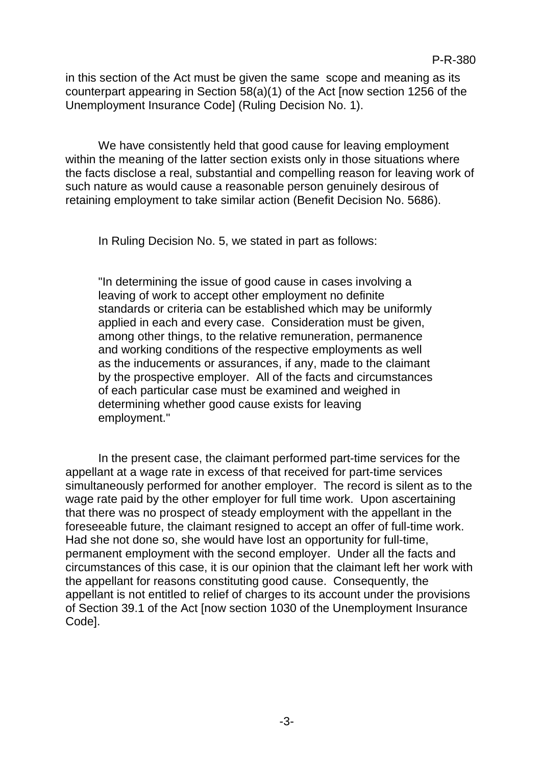in this section of the Act must be given the same scope and meaning as its counterpart appearing in Section 58(a)(1) of the Act [now section 1256 of the Unemployment Insurance Code] (Ruling Decision No. 1).

We have consistently held that good cause for leaving employment within the meaning of the latter section exists only in those situations where the facts disclose a real, substantial and compelling reason for leaving work of such nature as would cause a reasonable person genuinely desirous of retaining employment to take similar action (Benefit Decision No. 5686).

In Ruling Decision No. 5, we stated in part as follows:

"In determining the issue of good cause in cases involving a leaving of work to accept other employment no definite standards or criteria can be established which may be uniformly applied in each and every case. Consideration must be given, among other things, to the relative remuneration, permanence and working conditions of the respective employments as well as the inducements or assurances, if any, made to the claimant by the prospective employer. All of the facts and circumstances of each particular case must be examined and weighed in determining whether good cause exists for leaving employment."

In the present case, the claimant performed part-time services for the appellant at a wage rate in excess of that received for part-time services simultaneously performed for another employer. The record is silent as to the wage rate paid by the other employer for full time work. Upon ascertaining that there was no prospect of steady employment with the appellant in the foreseeable future, the claimant resigned to accept an offer of full-time work. Had she not done so, she would have lost an opportunity for full-time, permanent employment with the second employer. Under all the facts and circumstances of this case, it is our opinion that the claimant left her work with the appellant for reasons constituting good cause. Consequently, the appellant is not entitled to relief of charges to its account under the provisions of Section 39.1 of the Act [now section 1030 of the Unemployment Insurance Code].